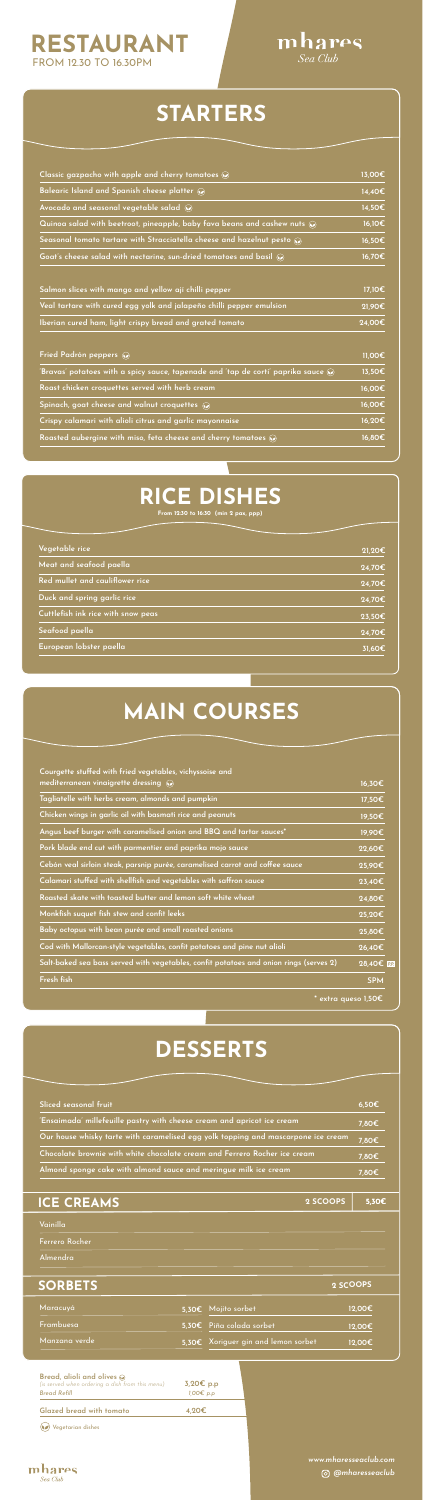| Classic gazpacho with apple and cherry tomatoes a                                                        | 13,00€ |
|----------------------------------------------------------------------------------------------------------|--------|
| Balearic Island and Spanish cheese platter a                                                             | 14,40€ |
| Avocado and seasonal vegetable salad $\omega$                                                            | 14,50€ |
| Quinoa salad with beetroot, pineapple, baby fava beans and cashew nuts $\textcolor{blue}{\blacklozenge}$ | 16,10€ |
| Seasonal tomato tartare with Stracciatella cheese and hazelnut pesto $\mathcal{D}$                       | 16,50€ |
| Goat's cheese salad with nectarine, sun-dried tomatoes and basil $\odot$                                 | 16,70€ |
| Salmon slices with mango and yellow ají chilli pepper                                                    | 17,10€ |
| Veal tartare with cured egg yolk and jalapeño chilli pepper emulsion                                     | 21,90€ |
| Iberian cured ham, light crispy bread and grated tomato                                                  | 24,00€ |
| Fried Padrón peppers (2)                                                                                 | 11,00€ |

| 'Bravas' potatoes with a spicy sauce, tapenade and 'tap de corti' paprika sauce $\textcolor{blue}{\blacktriangleright}$ | 13,50€ |
|-------------------------------------------------------------------------------------------------------------------------|--------|
| Roast chicken croquettes served with herb cream                                                                         | 16,00€ |
| Spinach, goat cheese and walnut croquettes $\widehat{\bullet}$                                                          | 16,00€ |
| Crispy calamari with alioli citrus and garlic mayonnaise                                                                | 16,20€ |
| Roasted aubergine with miso, feta cheese and cherry tomatoes $\mathcal{D}$                                              | 16,80€ |
|                                                                                                                         |        |

## STARTERS

| Courgette stuffed with fried vegetables, vichyssoise and                               |             |
|----------------------------------------------------------------------------------------|-------------|
| mediterranean vinaigrette dressing $\mathcal{D}$                                       | 16,30€      |
| Tagliatelle with herbs cream, almonds and pumpkin                                      | 17,50€      |
| Chicken wings in garlic oil with basmati rice and peanuts                              | 19,50€      |
| Angus beef burger with caramelised onion and BBQ and tartar sauces*                    | 19,90€      |
| Pork blade end cut with parmentier and paprika mojo sauce                              | 22,60€      |
| Cebón veal sirloin steak, parsnip purée, caramelised carrot and coffee sauce           | 25,90€      |
| Calamari stuffed with shellfish and vegetables with saffron sauce                      | 23,40€      |
| Roasted skate with toasted butter and lemon soft white wheat                           | 24,80€      |
| Monkfish suquet fish stew and confit leeks                                             | 25,20€      |
| Baby octopus with bean purée and small roasted onions                                  | 25,80€      |
| Cod with Mallorcan-style vegetables, confit potatoes and pine nut alioli               | 26,40€      |
| Salt-baked sea bass served with vegetables, confit potatoes and onion rings (serves 2) | 28,40€ P.P. |
| Fresh fish                                                                             | <b>SPM</b>  |
| $^*$ extra queso 1,50 $\bm{\mathsf{E}}$                                                |             |

## RESTAURANT FROM 12.30 TO 16.30PM





| Our house whisky tarte with caramelised egg yolk topping and mascarpone ice cream                                                             |                             |                                     | 7,80€                                     |
|-----------------------------------------------------------------------------------------------------------------------------------------------|-----------------------------|-------------------------------------|-------------------------------------------|
| Chocolate brownie with white chocolate cream and Ferrero Rocher ice cream<br>Almond sponge cake with almond sauce and meringue milk ice cream |                             |                                     | 7,80€                                     |
|                                                                                                                                               |                             |                                     | 7,80€                                     |
|                                                                                                                                               |                             |                                     |                                           |
| <b>ICE CREAMS</b>                                                                                                                             |                             | 2 SCOOPS                            | 5,30€                                     |
| Vainilla                                                                                                                                      |                             |                                     |                                           |
| Ferrero Rocher                                                                                                                                |                             |                                     |                                           |
| Almendra                                                                                                                                      |                             |                                     |                                           |
|                                                                                                                                               |                             |                                     |                                           |
| <b>SORBETS</b>                                                                                                                                |                             |                                     | 2 SCOOPS                                  |
| Maracuyá                                                                                                                                      |                             | 5,30€ Mojito sorbet                 | 12,00€                                    |
| Frambuesa                                                                                                                                     |                             | 5,30€ Piña colada sorbet            | 12,00€                                    |
| Manzana verde                                                                                                                                 |                             | 5.30€ Xoriguer gin and lemon sorbet | 12,00€                                    |
|                                                                                                                                               |                             |                                     |                                           |
| Bread, alioli and olives $\odot$<br>(is served when ordering a dish from this menu)<br><b>Bread Refill</b>                                    | 3,20€ p.p<br>$1,00 \in p.p$ |                                     |                                           |
| <b>Glazed bread with tomato</b>                                                                                                               | 4,20€                       |                                     |                                           |
| Vegetarian dishes                                                                                                                             |                             |                                     |                                           |
| mhares<br>Sea Club                                                                                                                            |                             |                                     | www.mharesseaclub.com<br>O @mharesseaclub |

| Vegetable rice                     | 21,20€              |
|------------------------------------|---------------------|
| Meat and seafood paella            | 24,70€              |
| Red mullet and cauliflower rice    | 24,70€              |
| Duck and spring garlic rice        | 24,70€              |
| Cuttlefish ink rice with snow peas | 23,50€              |
| Seafood paella                     | 24,70€              |
| European lobster paella            | $\overline{31,605}$ |

## MAIN COURSES

| RICE DISHES |
|-------------|
|-------------|

From 12:30 to 16:30 (min 2 pax, ppp)